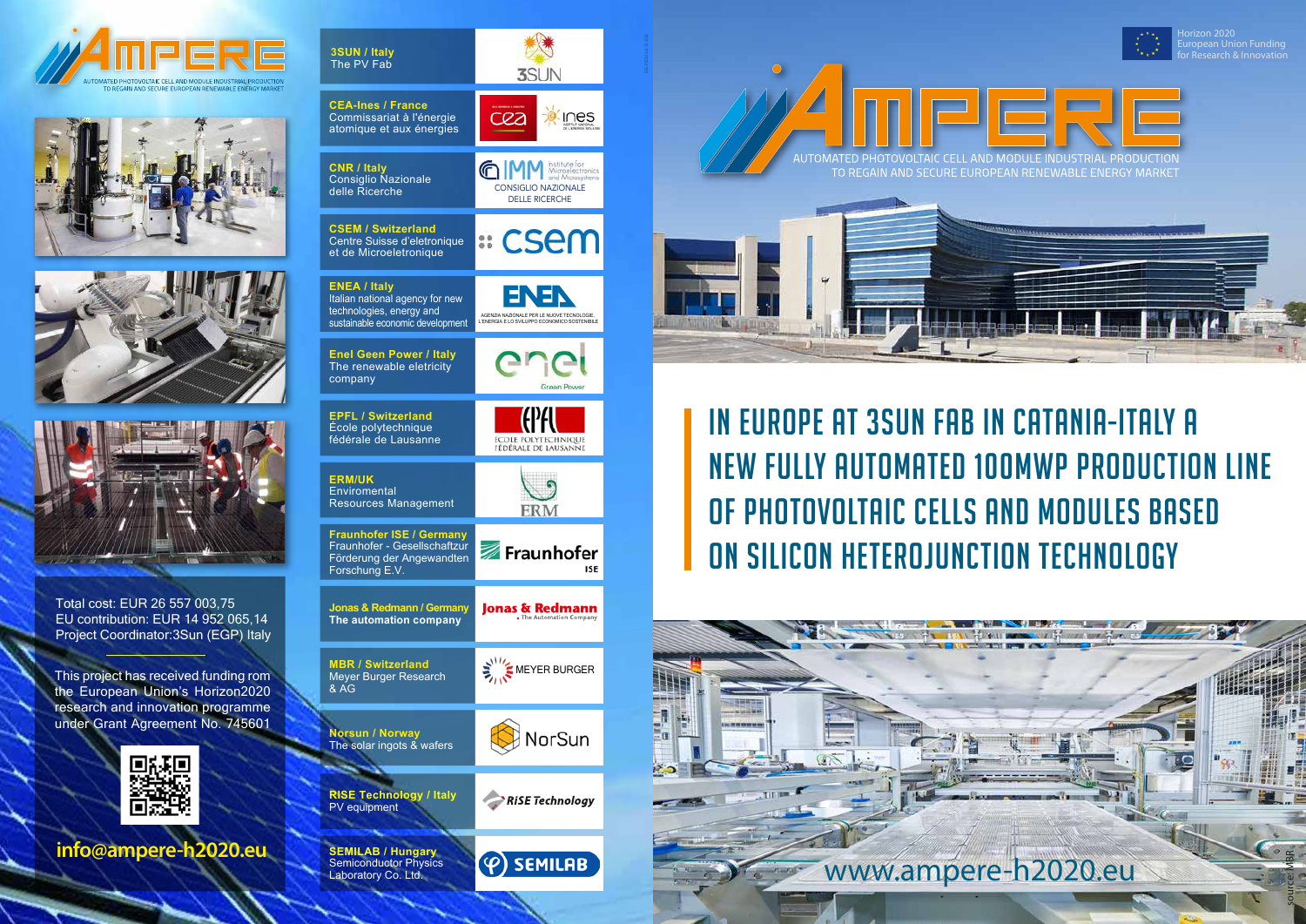## in Europe at 3SUN fab in Catania-Italy a new fully automated 100MWp production line of photovoltaic cells and modules based on silicon heterojunction technology

rizon 2020 European Union Funding









Total cost: EUR 26 557 003,75 EU contribution: EUR 14 952 065,14 Project Coordinator:3Sun (EGP) Italy

| 3SUN / Italy<br>The PV Fab                                                                                             | <b>3SUN</b>                                                                                                                           |
|------------------------------------------------------------------------------------------------------------------------|---------------------------------------------------------------------------------------------------------------------------------------|
| <b>CEA-Ines / France</b><br>Commissariat à l'énergie<br>atomique et aux énergies                                       | C <i>Q</i> 2                                                                                                                          |
| <b>CNR / Italy</b><br><b>Consiglio Nazionale</b><br>delle Ricerche                                                     | Institute for<br>$\bigcirc$ $\bigcirc$<br>Microelectronics<br>and Microsystems<br><b>CONSIGLIO NAZIONALE</b><br><b>DELLE RICERCHE</b> |
| <b>CSEM / Switzerland</b><br>Centre Suisse d'eletronique<br>et de Microeletronique                                     | ። CSem                                                                                                                                |
| <b>ENEA / Italy</b><br>Italian national agency for new<br>technologies, energy and<br>sustainable economic development | AGENZIA NAZIONALE PER LE NUOVE TECNOLOGIE,<br>L'ENERGIA E LO SVILUPPO ECONOMICO SOSTENIBILE                                           |
| <b>Enel Geen Power / Italy</b><br>The renewable eletricity<br>company                                                  | Green Power                                                                                                                           |
| <b>EPFL / Switzerland</b><br>École polytechnique<br>fédérale de Lausanne                                               | ECOLE POLYTECHNIQUE<br>FÉDÉRALE DE LAUSANNE                                                                                           |
|                                                                                                                        |                                                                                                                                       |
| <b>ERM/UK</b><br>Enviromental<br><b>Resources Management</b>                                                           | ERM                                                                                                                                   |
| <b>Fraunhofer ISE / Germany</b><br>Fraunhofer - Gesellschaftzur<br>Förderung der Angewandten<br>Forschung E.V.         | Fraunhofer<br>ISE                                                                                                                     |
| <b>Jonas &amp; Redmann / Germany</b><br>The automation company                                                         | <b>Jonas &amp; Redmann</b>                                                                                                            |
| <b>MBR / Switzerland</b><br>Meyer Burger Research<br>& AG                                                              | MEYER BURGER                                                                                                                          |
| <b>Norsun / Norway</b><br>The solar ingots & wafers                                                                    | NorSun                                                                                                                                |
| <b>RISE Technology / Italy</b><br>PV equipment                                                                         | <b>RISE Technology</b>                                                                                                                |







**info@ampere-h2020.eu**

This project has received funding rom the European Union's Horizon2020 research and innovation programme under Grant Agreement No. 745601